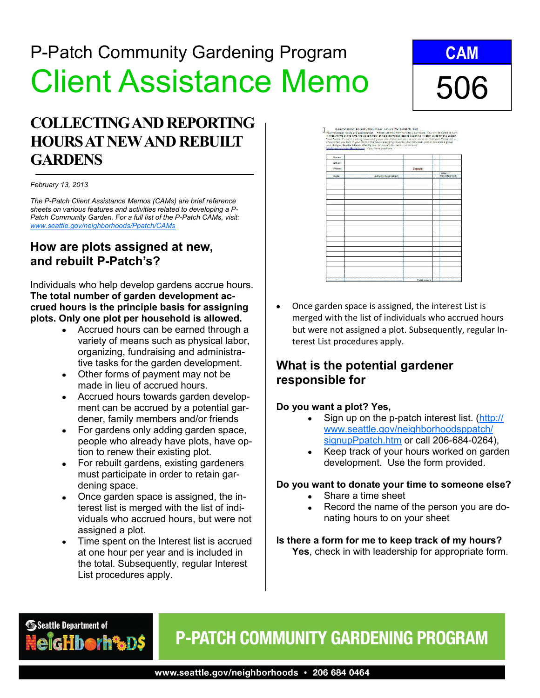# P-Patch Community Gardening Program Client Assistance Memo

## **COLLECTING AND REPORTING HOURS AT NEW AND REBUILT GARDENS**

#### *February 13, 2013*

*The P-Patch Client Assistance Memos (CAMs) are brief reference sheets on various features and activities related to developing a P-Patch Community Garden. For a full list of the P-Patch CAMs, visit: [www.seattle.gov/neighborhoods/Ppatch/CAMs](http://www.seattle.gov/neighborhoods/ppatch/levy.htm)*

### **How are plots assigned at new, and rebuilt P-Patch's?**

Individuals who help develop gardens accrue hours. **The total number of garden development accrued hours is the principle basis for assigning plots. Only one plot per household is allowed.** 

- Accrued hours can be earned through a variety of means such as physical labor, organizing, fundraising and administrative tasks for the garden development.
- Other forms of payment may not be made in lieu of accrued hours.
- Accrued hours towards garden development can be accrued by a potential gardener, family members and/or friends
- For gardens only adding garden space, people who already have plots, have option to renew their existing plot.
- For rebuilt gardens, existing gardeners must participate in order to retain gardening space.
- Once garden space is assigned, the in- $\bullet$ terest list is merged with the list of individuals who accrued hours, but were not assigned a plot.
- Time spent on the Interest list is accrued at one hour per year and is included in the total. Subsequently, regular Interest List procedures apply.

# **CAM** 506



Once garden space is assigned, the interest List is merged with the list of individuals who accrued hours but were not assigned a plot. Subsequently, regular Interest List procedures apply.

## **What is the potential gardener responsible for**

### **Do you want a plot? Yes,**

- Sign up on the p-patch interest list. ([http://](http://www.seattle.gov/neighborhoods/ppatch/signupPpatch.htm) [www.seattle.gov/neighborhoodsppatch/](http://www.seattle.gov/neighborhoods/ppatch/signupPpatch.htm) [signupPpatch.htm](http://www.seattle.gov/neighborhoods/ppatch/signupPpatch.htm) or call 206-684-0264),
- Keep track of your hours worked on garden development. Use the form provided.

#### **Do you want to donate your time to someone else?**

- Share a time sheet
- Record the name of the person you are donating hours to on your sheet

**Is there a form for me to keep track of my hours? Yes**, check in with leadership for appropriate form.

## Seattle Department of borh%D\$

## **P-PATCH COMMUNITY GARDENING PROGRAM**